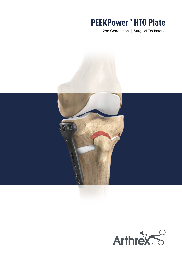# **PEEKPower™ HTO Plate**

2nd Generation | Surgical Technique



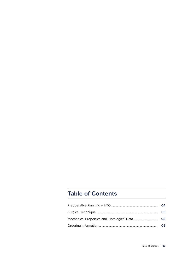# **Table of Contents**

| 04  |
|-----|
| 05. |
|     |
| 09. |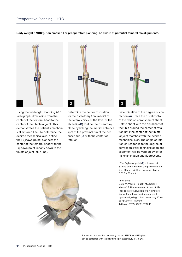#### <span id="page-3-0"></span>**Body weight < 100 kg, non-smoker. For preoperative planning, be aware of potential femoral malalignments.**



Using the full-length, standing A/P radiograph, draw a line from the center of the femoral head to the center of the tibiotalar joint. This demonstrates the patient's mechanical axis (red line). To determine the desired mechanical axis, define the Fujisawa point.\* Connect the center of the femoral head with the Fujisawa point linearly down to the tibiotalar joint (blue line).



Determine the center of rotation for the osteotomy 1 cm medial of the lateral cortex at the level of the fibula tip (**D**). Define the osteotomy plane by linking the medial entrance spot at the proximal rim of the pes anserinus (**O**) with the center of rotation.



Determination of the degree of correction (**α**): Trace the distal contour of the tibia on a transparent sheet. Rotate sheet with the distal part of the tibia around the center of rotation until the center of the tibiotalar joint matches with the desired mechanical axis. The angle of rotation corresponds to the degree of correction. Prior to final fixation, the alignment will be verified by external examination and fluoroscopy.

\* The Fujisawa point (**F**) is located at 62.5 % of the width of the proximal tibia (i.e., 80 mm [width of proximal tibia] x  $0.625 = 50$  mm)

#### Reference:

Cotic M, Vogt S, Feucht MJ, Saier T, Minzlaff P, Hinterwimmer S, Imhoff AB. Prospective evaluation of a new plate fixator for valgus-producing medial open-wedge high tibial osteotomy. Knee Surg Sports Traumatol Arthrosc. 2015; 23(12):3707-16



For a more reproducible osteotomy cut, the PEEKPower HTO plate can be combined with the HTO hinge pin system (LT2-0133-EN).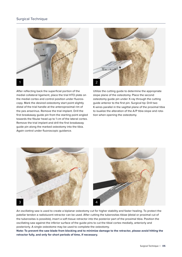## <span id="page-4-0"></span>Surgical Technique



After reflecting back the superficial portion of the medial collateral ligament, place the trial HTO plate on the medial cortex and control position under fluoroscopy. Mark the desired osteotomy start point slightly distal of the trial handle at the anteroproximal rim of the pes anserinus. Remove the trial implant. Drill the first breakaway guide pin from the starting point angled towards the fibular head up to 1 cm of the lateral cortex. Remove the trial implant and drill the first breakaway guide pin along the marked osteotomy into the tibia. Again control under fluoroscopic guidance.



Utilize the cutting guide to determine the appropriate slope plane of the osteotomy. Place the second osteotomy guide pin under X-ray through the cutting guide anterior to the first pin. Surgical tip: Drill two K-wires parallel in the sagittal plane of the proximal tibia to isualize the alteration of the A/P tibia slope and rotation when opening the osteotomy.



An oscillating saw is used to create a biplanar osteotomy cut for higher stability and faster healing. To protect the patellar tendon a radiolucent retractor can be used. After cutting the tuberositas tibiae (distal or proximal cut of the tuberositas is possible), insert a soft tissue retractor into the posterior part of the proximal tibia. Position the oscillating saw against the inferior surface of the guide pins to cut the tibial cortex medially, anteriorly and posteriorly. A single osteotome may be used to complete the osteotomy.

**Note: To prevent the saw blade from blocking and to minimize damage to the retractor, please avoid hitting the retractor fully, and only for short periods of time, if necessary.**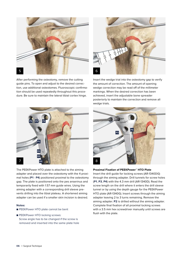

After performing the osteotomy, remove the cutting guide pins. To open and adjust to the desired correction, use additional osteotomes. Fluoroscopic confirmation should be used repeatedly throughout this procedure. Be sure to maintain the lateral tibial cortex hinge.



The PEEKPower HTO plate is attached to the aiming adapter and placed over the osteotomy with the 4 proximal holes (**P1** - **P4**) positioned proximal to the osteotomy gap. The plate is positioned onto the pes anserinus and temporarily fixed with 1.57 mm guide wires. Using the aiming adapter with a corresponding drill sleeve prevents drilling into the tibial plateau. A shortened aiming adapter can be used if a smaller skin incision is desired.

#### **Notes:**

- PEEKPower HTO plate cannot be bent
- PEEKPower HTO locking screws: Screw angle has to be changed if the screw is removed and inserted into the same plate hole



Insert the wedge trial into the osteotomy gap to verify the amount of correction. The amount of opening wedge correction may be read off of the millimeter markings. When the desired correction has been achieved, insert the adjustable bone spreader posteriorly to maintain the correction and remove all wedge trials.



#### **Proximal Fixation of PEEKPower™ HTO Plate**

Insert the drill guide for locking screws (AR-1340DG) through the aiming adapter. Drill tunnels for screw holes (**P1**, **P3**, **P4**) with the 4.3 mm drill (AR-1340D). Read the screw length on the drill where it enters the drill sleeve tunnel or by using the depth gauge for the PEEKPower HTO plate (AR-1340G). Insert screws through the aiming adapter leaving 2 to 3 turns remaining. Remove the aiming adapter. **P2** is drilled without the aiming adapter. Complete final fixation of all proximal locking screws with a 3.5 mm hex screwdriver manually until screws are flush with the plate.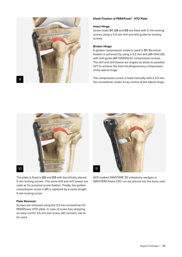

#### **Distal Fixation of PEEKPower™ HTO Plate**

#### **Intact Hinge:**

Screw holes **D1**, **D2** and **D3** are fixed with 5 mm locking screws using a 4.3 mm drill and drill guide for locking screws.

#### **Broken Hinge:**

A golden compression screw is used in **D1**: Bicortical fixation is achieved by using a 3.2 mm drill (AR-1343.2D) with drill guide (AR-1343DG) for compression screws. The drill and drill sleeve are angled as distal as possible (12°) to achieve the best intrafragmentary compression of the lateral hinge.

The compression screw is fixed manually with a 3.5 mm hex screwdriver under X-ray control of the lateral hinge.



The plate is fixed in **D2** and **D3** with bicortically placed 5 mm locking screws. The same drill and drill sleeve are used as for proximal screw fixation. Finally, the golden compression screw in **D1** is replaced by a same-length 5 mm locking screw.

#### **Plate Removal:**

Screws are removed using the 3.5 hex screwdriver for PEEKPower HTO plate. In case of screw hex stripping, an easy-out for 3.5 mm hex screw, AO connect, has to be used.



ACP-soaked INNOTERE 3D osteotomy wedges or INNOTERE Paste-CPC can be placed into the bone void.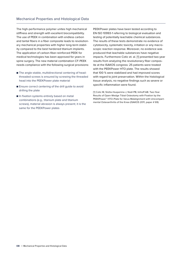<span id="page-7-0"></span>The high-performance polymer unites high mechanical stiffness and strength with excellent biocompatibility. The use of PEEK in combination with endless carbon and tantal fibers in a fiber composite leads to revolutionary mechanical properties with higher long-term stability compared to the best hardened titanium implants. The application of carbon-fiber-reinforced PEEK for medical technologies has been approved for years in spine surgery. The new material combination CF-PEEK needs compliance with the following surgical provisions:

- The angle-stable, multidirectional centering of headthreaded screws is ensured by screwing the threaded head into the PEEKPower plate material
- Ensure correct centering of the drill quide to avoid drilling the plate
- In fixation systems entirely based on metal combinations (e.g., titanium plate and titanium screws), material abrasion is always present; it is the same for the PEEKPower plates

PEEKPower plates have been tested according to EN ISO 10993-1 referring to biological evaluation and testing of potentially leachable chemical substances. The results of these tests demonstrate no evidence of cytotoxicity, systematic toxicity, irritation or any macroscopic reaction response. Moreover, no evidence was produced that leachable substances have negative impacts. Furthermore Cotic et. al. [1] presented two-year results from analyzing the revolutionary fiber composite at the ISAKOS congress: 25 patients were treated with the PEEKPower HTO plate. The results showed that 100 % were stabilized and had improved scores with regard to joint preservation. Within the histological tissue analysis, no negative findings such as severe or specific inflammation were found.

[1] Cotic M, Slotta-Huspenina J, Noël PB, Imhoff AB. Two-Year Results of Open-Wedge Tibial Osteotomy with Fixation by the PEEKPower™ HTO-Plate for Varus Malalignment with Unicompartmental Osteoarthritis of the Knee (ISAKOS 2011, paper # 69)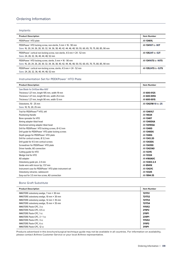# <span id="page-8-0"></span>Ordering Information

#### Implants

| <b>Product Description</b>                                                                                                                                                           | <b>Item Number</b>  |
|--------------------------------------------------------------------------------------------------------------------------------------------------------------------------------------|---------------------|
| PEEKPower" HTO plate                                                                                                                                                                 | AR-13401L           |
| PEEKPower <sup>"</sup> HTO locking screw, non-sterile, 5 mm x 16 - 90 mm<br>Sizes: 16, 20, 24, 26, 28, 30, 32, 34, 36, 38, 40, 42, 44, 46, 48, 50, 55, 60, 65, 70, 75, 80, 85, 90 mm | AR-13416T to -90T   |
| PEEKPower" cortical non-locking screw, non-sterile, 4.5 mm x 24 - 52 mm<br>Sizes: 24, 28, 32, 36, 40, 44, 48, 52 mm                                                                  | AR-13524T to -52T   |
| PEEKPower <sup>®</sup> HTO locking screw, sterile, 5 mm × 16 - 90 mm<br>Sizes: 16, 20, 24, 26, 28, 30, 32, 34, 36, 38, 40, 42, 44, 46, 48, 50, 55, 60, 65, 70, 75, 80, 85, 90 mm     | AR-13416TS to -90TS |
| PEEKPower" cortical non-locking screw, sterile, 4.5 mm x 24 - 52 mm<br>Sizes: 24, 28, 32, 36, 40, 44, 48, 52 mm                                                                      | AR-13524TS to -52TS |

#### Instrumentation Set for PEEKPower™ HTO Plate

| <b>Product Description</b>                              | <b>Item Number</b>  |
|---------------------------------------------------------|---------------------|
| Saw Blade for DrillSaw Max 600                          |                     |
| Thickness 1.27 mm, length 105 mm, width 19 mm           | AR-600-012S         |
| Thickness 1.27 mm, length 90 mm, width 25.4 mm          | AR-600-005S         |
| Thickness 1.27 mm, length 90 mm, width 13 mm            | AR-600-001S         |
| Osteotome, 10 - 25 mm                                   | AR-13421W-10 to -25 |
| Sizes: 10, 15, 20, 25 mm                                |                     |
| Trial for PEEKPower™ HTO, left                          | AR-13401LT          |
| Positioning Handle                                      | AR-14024            |
| Bone spreader for HTO                                   | AR-1340T            |
| Aiming adapter tibial head                              | <b>AR-1340DGA</b>   |
| Shortened aiming adapter tibial head                    | <b>AR-1341DGA</b>   |
| Drill for PEEKPower" HTO locking screws, Ø 4.3 mm       | AR-1340D            |
| Drill guide for PEEKPower" HTO plate locking screws     | <b>AR-1340DG</b>    |
| Depth gauge for PEEKPower" HTO plate                    | AR-1340G            |
| Drill for cortical screws, Ø 3.2 mm                     | AR-1343.2D          |
| Drill guide for 4.5 mm cortical screws                  | AR-1343DG           |
| Screwdriver for PEEKPower" HTO plate                    | AR-13435D           |
| Driver handle, AO connection                            | AR-13421AO          |
| Cutting guide for HTO                                   | AR-13315            |
| Wedge trial for HTO                                     | AR-13324            |
| AO adapter                                              | <b>AR-4160AOC</b>   |
| Osteotomy guide pin, 2.4 mm                             | AR-13303-2.4        |
| Guide wire with trocar tip, 1.57 mm                     | AR-8941K            |
| Instrument case for PEEKPower" HTO plate instrument set | AR-13421C           |
| Osteotomy retractor, radiolucent                        | AR-13325            |
| Easy-out for 3.5 mm hex screw, AO connection            | AR-1994-35          |

### Bone Graft Substitute

| <b>Product Description</b>                     | <b>Item Number</b> |
|------------------------------------------------|--------------------|
| INNOTERE osteotomy wedge, 7 mm $\times$ 30 mm  | <b>721TS1</b>      |
| INNOTERE osteotomy wedge, 10 mm $\times$ 30 mm | <b>721TS2</b>      |
| INNOTERE osteotomy wedge, 12 mm $\times$ 35 mm | <b>721TS3</b>      |
| INNOTERE osteotomy wedge, 15 mm $\times$ 35 mm | <b>721TS4</b>      |
| <b>INNOTERE Paste-CPC, 3 cc</b>                | <b>111VX2</b>      |
| INNOTERE Paste-CPC, 0.5 cc                     | 211IP2             |
| <b>INNOTERE Paste-CPC, 1 cc</b>                | 211P1              |
| INNOTERE Paste-CPC, $3 \times 1$ cc            | 231P1              |
| <b>INNOTERE Paste-CPC, 3 cc</b>                | <b>111VX2</b>      |
| <b>INNOTERE Paste-CPC, 6 cc</b>                | 311IP2             |
| <b>INNOTERE Paste-CPC, 12 cc</b>               | 311 <sub>IP1</sub> |

Products advertised in this brochure/surgical technique guide may not be available in all countries. For information on availability, please contact Arthrex Customer Service or your local Arthrex representative.